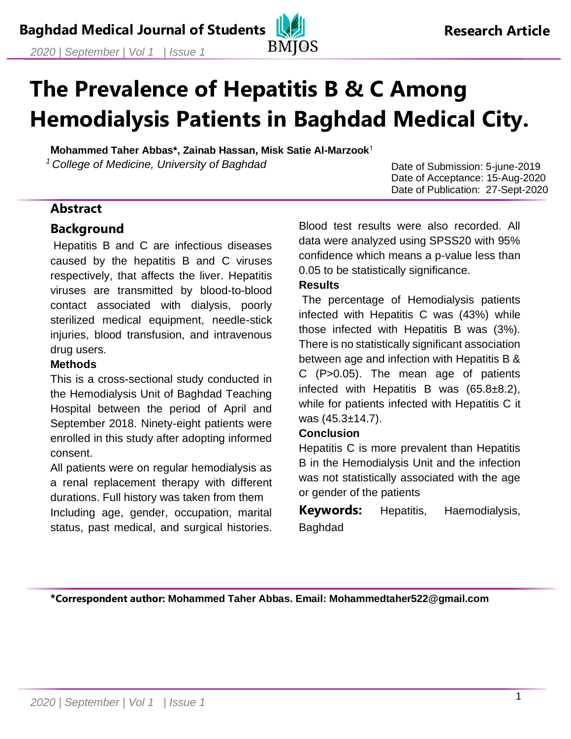# **The Prevalence of Hepatitis B & C Among Hemodialysis Patients in Baghdad Medical City.**

**Mohammed Taher Abbas\*, Zainab Hassan, Misk Satie Al-Marzook**<sup>1</sup> *<sup>1</sup>College of Medicine, University of Baghdad*

Date of Submission: 5-june-2019 Date of Acceptance: 15-Aug-2020 Date of Publication: 27-Sept-2020

## **Abstract**

#### **Background**

Hepatitis B and C are infectious diseases caused by the hepatitis B and C viruses respectively, that affects the liver. Hepatitis viruses are transmitted by blood-to-blood contact associated with dialysis, poorly sterilized medical equipment, needle-stick injuries, blood transfusion, and intravenous drug users.

#### **Methods**

This is a cross-sectional study conducted in the Hemodialysis Unit of Baghdad Teaching Hospital between the period of April and September 2018. Ninety-eight patients were enrolled in this study after adopting informed consent.

All patients were on regular hemodialysis as a renal replacement therapy with different durations. Full history was taken from them Including age, gender, occupation, marital status, past medical, and surgical histories. Blood test results were also recorded. All data were analyzed using SPSS20 with 95% confidence which means a p-value less than 0.05 to be statistically significance.

#### **Results**

The percentage of Hemodialysis patients infected with Hepatitis C was (43%) while those infected with Hepatitis B was (3%). There is no statistically significant association between age and infection with Hepatitis B & C (P>0.05). The mean age of patients infected with Hepatitis B was (65.8±8.2), while for patients infected with Hepatitis C it was (45.3±14.7).

#### **Conclusion**

Hepatitis C is more prevalent than Hepatitis B in the Hemodialysis Unit and the infection was not statistically associated with the age or gender of the patients

**Keywords:** Hepatitis, Haemodialysis, Baghdad

**\*Correspondent author: Mohammed Taher Abbas. Email: Mohammedtaher522@gmail.com**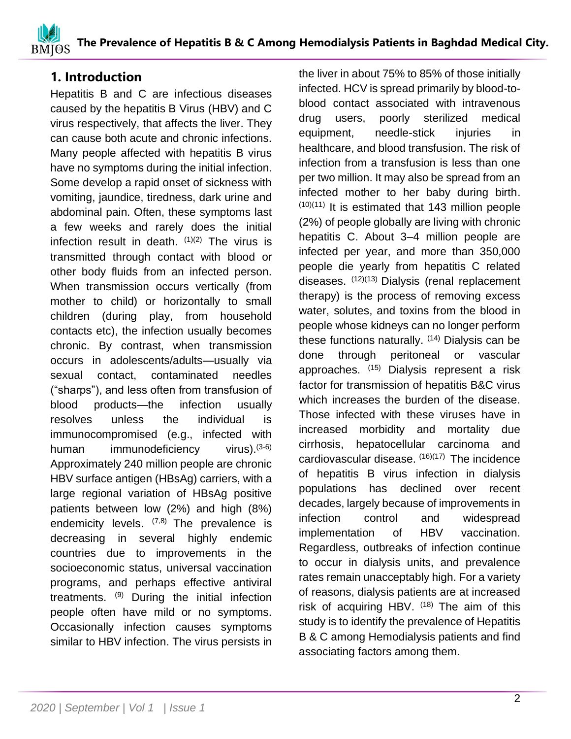## **1. Introduction**

Hepatitis B and C are infectious diseases caused by the hepatitis B Virus (HBV) and C virus respectively, that affects the liver. They can cause both acute and chronic infections. Many people affected with hepatitis B virus have no symptoms during the initial infection. Some develop a rapid onset of sickness with vomiting, jaundice, tiredness, dark urine and abdominal pain. Often, these symptoms last a few weeks and rarely does the initial infection result in death. (1)(2) The virus is transmitted through contact with blood or other body fluids from an infected person. When transmission occurs vertically (from mother to child) or horizontally to small children (during play, from household contacts etc), the infection usually becomes chronic. By contrast, when transmission occurs in adolescents/adults—usually via sexual contact, contaminated needles ("sharps"), and less often from transfusion of blood products—the infection usually resolves unless the individual is immunocompromised (e.g., infected with human immunodeficiency virus). $(3-6)$ Approximately 240 million people are chronic HBV surface antigen (HBsAg) carriers, with a large regional variation of HBsAg positive patients between low (2%) and high (8%) endemicity levels. <sup>(7,8)</sup> The prevalence is decreasing in several highly endemic countries due to improvements in the socioeconomic status, universal vaccination programs, and perhaps effective antiviral treatments. <sup>(9)</sup> During the initial infection people often have mild or no symptoms. Occasionally infection causes symptoms similar to HBV infection. The virus persists in the liver in about 75% to 85% of those initially infected. HCV is spread primarily by blood-toblood contact associated with intravenous drug users, poorly sterilized medical equipment, needle-stick injuries in healthcare, and blood transfusion. The risk of infection from a transfusion is less than one per two million. It may also be spread from an infected mother to her baby during birth.  $(10)(11)$  It is estimated that 143 million people (2%) of people globally are living with chronic hepatitis C. About 3–4 million people are infected per year, and more than 350,000 people die yearly from hepatitis C related diseases. (12)(13) Dialysis (renal replacement therapy) is the process of removing excess water, solutes, and toxins from the blood in people whose kidneys can no longer perform these functions naturally.  $(14)$  Dialysis can be done through peritoneal or vascular approaches. (15) Dialysis represent a risk factor for transmission of hepatitis B&C virus which increases the burden of the disease. Those infected with these viruses have in increased morbidity and mortality due cirrhosis, hepatocellular carcinoma and cardiovascular disease. (16)(17) The incidence of hepatitis B virus infection in dialysis populations has declined over recent decades, largely because of improvements in infection control and widespread implementation of HBV vaccination. Regardless, outbreaks of infection continue to occur in dialysis units, and prevalence rates remain unacceptably high. For a variety of reasons, dialysis patients are at increased risk of acquiring HBV.  $(18)$  The aim of this study is to identify the prevalence of Hepatitis B & C among Hemodialysis patients and find associating factors among them.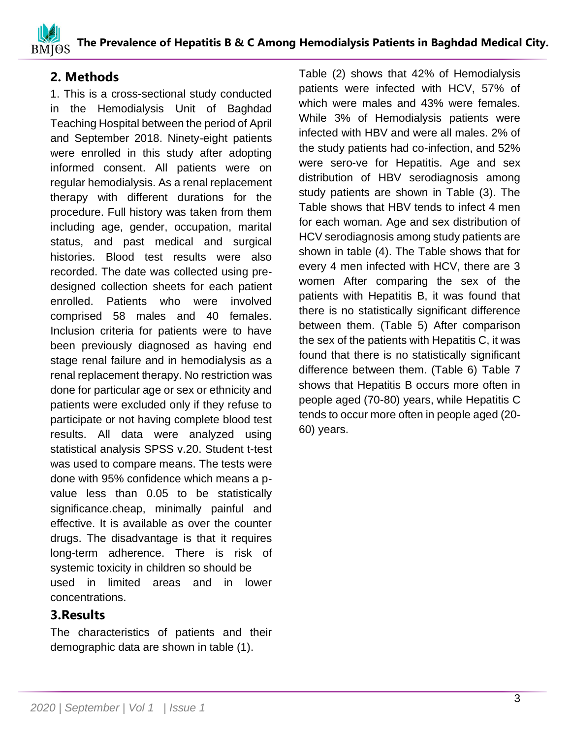## **2. Methods**

1. This is a cross-sectional study conducted in the Hemodialysis Unit of Baghdad Teaching Hospital between the period of April and September 2018. Ninety-eight patients were enrolled in this study after adopting informed consent. All patients were on regular hemodialysis. As a renal replacement therapy with different durations for the procedure. Full history was taken from them including age, gender, occupation, marital status, and past medical and surgical histories. Blood test results were also recorded. The date was collected using predesigned collection sheets for each patient enrolled. Patients who were involved comprised 58 males and 40 females. Inclusion criteria for patients were to have been previously diagnosed as having end stage renal failure and in hemodialysis as a renal replacement therapy. No restriction was done for particular age or sex or ethnicity and patients were excluded only if they refuse to participate or not having complete blood test results. All data were analyzed using statistical analysis SPSS v.20. Student t-test was used to compare means. The tests were done with 95% confidence which means a pvalue less than 0.05 to be statistically significance.cheap, minimally painful and effective. It is available as over the counter drugs. The disadvantage is that it requires long-term adherence. There is risk of systemic toxicity in children so should be used in limited areas and in lower concentrations.

## **3.Results**

The characteristics of patients and their demographic data are shown in table (1).

Table (2) shows that 42% of Hemodialysis patients were infected with HCV, 57% of which were males and 43% were females. While 3% of Hemodialysis patients were infected with HBV and were all males. 2% of the study patients had co-infection, and 52% were sero-ve for Hepatitis. Age and sex distribution of HBV serodiagnosis among study patients are shown in Table (3). The Table shows that HBV tends to infect 4 men for each woman. Age and sex distribution of HCV serodiagnosis among study patients are shown in table (4). The Table shows that for every 4 men infected with HCV, there are 3 women After comparing the sex of the patients with Hepatitis B, it was found that there is no statistically significant difference between them. (Table 5) After comparison the sex of the patients with Hepatitis C, it was found that there is no statistically significant difference between them. (Table 6) Table 7 shows that Hepatitis B occurs more often in people aged (70-80) years, while Hepatitis C tends to occur more often in people aged (20- 60) years.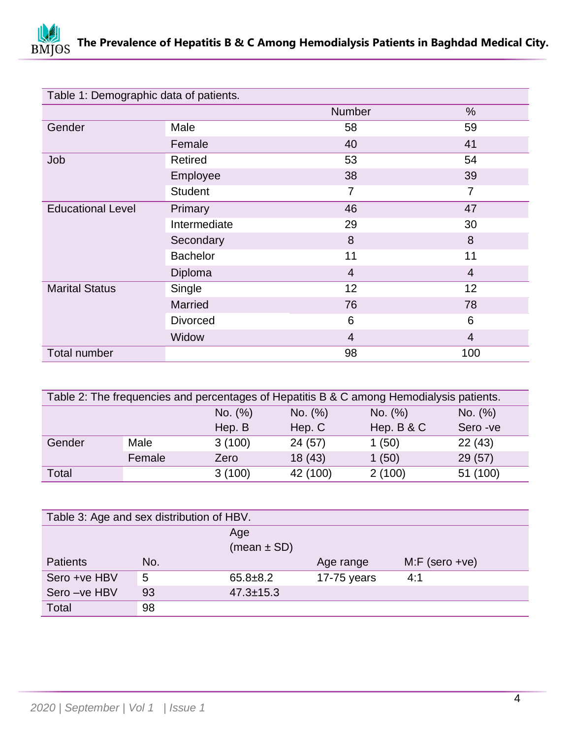

| Table 1: Demographic data of patients. |                 |                |                |  |
|----------------------------------------|-----------------|----------------|----------------|--|
|                                        |                 | Number         | $\%$           |  |
| Gender                                 | Male            | 58             | 59             |  |
|                                        | Female          | 40             | 41             |  |
| Job                                    | <b>Retired</b>  | 53             | 54             |  |
|                                        | Employee        | 38             | 39             |  |
|                                        | <b>Student</b>  | $\overline{7}$ | $\overline{7}$ |  |
| <b>Educational Level</b>               | Primary         | 46             | 47             |  |
|                                        | Intermediate    | 29             | 30             |  |
|                                        | Secondary       | 8              | 8              |  |
|                                        | <b>Bachelor</b> | 11             | 11             |  |
|                                        | Diploma         | $\overline{4}$ | $\overline{4}$ |  |
| <b>Marital Status</b>                  | Single          | 12             | 12             |  |
|                                        | Married         | 76             | 78             |  |
|                                        | <b>Divorced</b> | 6              | 6              |  |
|                                        | Widow           | $\overline{4}$ | $\overline{4}$ |  |
| <b>Total number</b>                    |                 | 98             | 100            |  |

| Table 2: The frequencies and percentages of Hepatitis B & C among Hemodialysis patients. |        |         |          |              |           |  |
|------------------------------------------------------------------------------------------|--------|---------|----------|--------------|-----------|--|
|                                                                                          |        | No. (%) | No. (%)  | No. (%)      | No. (%)   |  |
|                                                                                          |        | Hep. B  | Hep. C   | Hep. $B & C$ | Sero - ve |  |
| Gender                                                                                   | Male   | 3(100)  | 24(57)   | 1(50)        | 22(43)    |  |
|                                                                                          | Female | Zero    | 18(43)   | 1(50)        | 29(57)    |  |
| Total                                                                                    |        | 3(100)  | 42 (100) | 2(100)       | 51 (100)  |  |

| Table 3: Age and sex distribution of HBV. |     |                 |               |                   |  |  |
|-------------------------------------------|-----|-----------------|---------------|-------------------|--|--|
|                                           |     | Age             |               |                   |  |  |
|                                           |     | $(mean \pm SD)$ |               |                   |  |  |
| <b>Patients</b>                           | No. |                 | Age range     | $M: F$ (sero +ve) |  |  |
| Sero +ve HBV                              | 5   | $65.8 \pm 8.2$  | $17-75$ years | 4:1               |  |  |
| Sero-ve HBV                               | 93  | $47.3 \pm 15.3$ |               |                   |  |  |
| <b>Total</b>                              | 98  |                 |               |                   |  |  |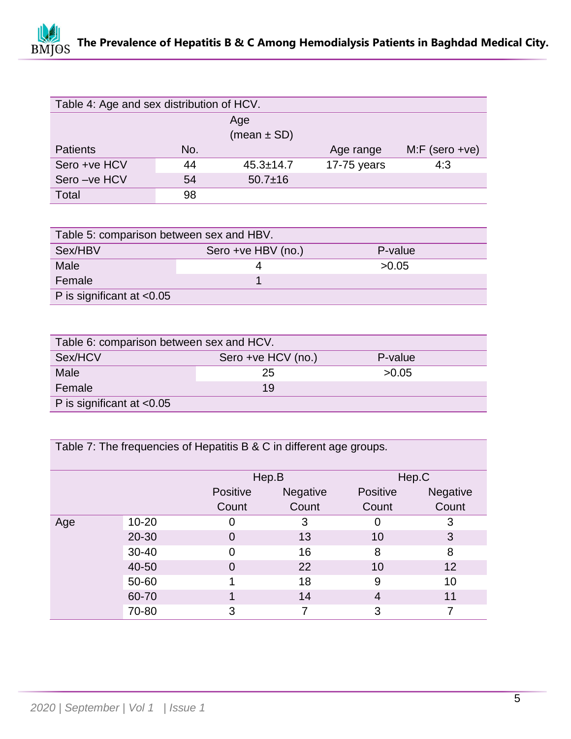# **The Prevalence of Hepatitis B & C Among Hemodialysis Patients in Baghdad Medical City. BMJOS**

| Table 4: Age and sex distribution of HCV. |     |                 |             |                  |  |  |
|-------------------------------------------|-----|-----------------|-------------|------------------|--|--|
|                                           |     | Age             |             |                  |  |  |
| (mean $\pm$ SD)                           |     |                 |             |                  |  |  |
| <b>Patients</b>                           | No. |                 | Age range   | $M.F$ (sero +ve) |  |  |
| Sero +ve HCV                              | 44  | $45.3 \pm 14.7$ | 17-75 years | 4:3              |  |  |
| Sero-ve HCV                               | 54  | $50.7 \pm 16$   |             |                  |  |  |
| Total                                     | 98  |                 |             |                  |  |  |

| Table 5: comparison between sex and HBV. |                    |         |  |  |  |
|------------------------------------------|--------------------|---------|--|--|--|
| Sex/HBV                                  | Sero +ve HBV (no.) | P-value |  |  |  |
| Male                                     |                    | >0.05   |  |  |  |
| Female                                   |                    |         |  |  |  |
| P is significant at $< 0.05$             |                    |         |  |  |  |

| Table 6: comparison between sex and HCV. |                    |         |  |  |  |
|------------------------------------------|--------------------|---------|--|--|--|
| Sex/HCV                                  | Sero +ve HCV (no.) | P-value |  |  |  |
| Male                                     | 25                 | >0.05   |  |  |  |
| Female                                   | 19                 |         |  |  |  |
| P is significant at $< 0.05$             |                    |         |  |  |  |

Table 7: The frequencies of Hepatitis B & C in different age groups.

|     |           |                   | Hep.B             |                          | Hep.C             |
|-----|-----------|-------------------|-------------------|--------------------------|-------------------|
|     |           | Positive<br>Count | Negative<br>Count | <b>Positive</b><br>Count | Negative<br>Count |
| Age | $10 - 20$ | 0                 | 3                 | 0                        | 3                 |
|     | 20-30     | 0                 | 13                | 10                       | 3                 |
|     | 30-40     | 0                 | 16                | 8                        | 8                 |
|     | 40-50     | 0                 | 22                | 10                       | 12                |
|     | 50-60     |                   | 18                | 9                        | 10                |
|     | 60-70     |                   | 14                | 4                        | 11                |
|     | 70-80     | 3                 |                   | 3                        |                   |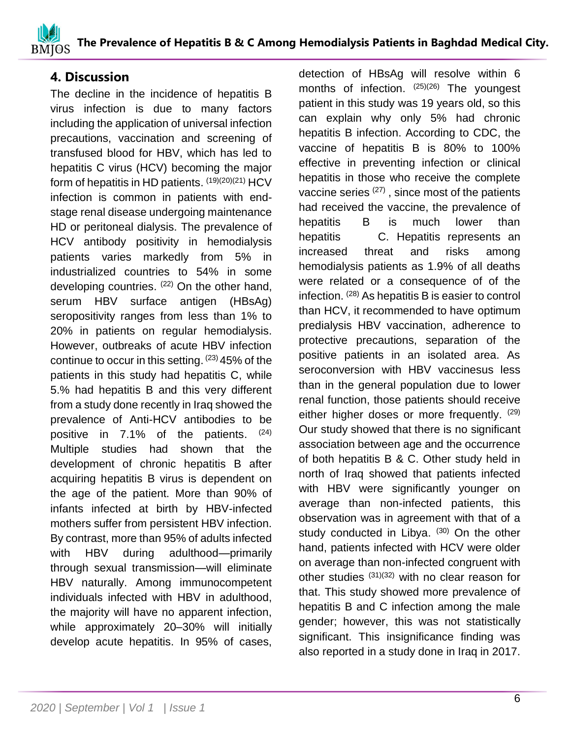## **4. Discussion**

The decline in the incidence of hepatitis B virus infection is due to many factors including the application of universal infection precautions, vaccination and screening of transfused blood for HBV, which has led to hepatitis C virus (HCV) becoming the major form of hepatitis in HD patients.  $^{(19)(20)(21)}$  HCV infection is common in patients with endstage renal disease undergoing maintenance HD or peritoneal dialysis. The prevalence of HCV antibody positivity in hemodialysis patients varies markedly from 5% in industrialized countries to 54% in some developing countries. <sup>(22)</sup> On the other hand, serum HBV surface antigen (HBsAg) seropositivity ranges from less than 1% to 20% in patients on regular hemodialysis. However, outbreaks of acute HBV infection continue to occur in this setting. <sup>(23)</sup> 45% of the patients in this study had hepatitis C, while 5.% had hepatitis B and this very different from a study done recently in Iraq showed the prevalence of Anti-HCV antibodies to be positive in 7.1% of the patients. (24) Multiple studies had shown that the development of chronic hepatitis B after acquiring hepatitis B virus is dependent on the age of the patient. More than 90% of infants infected at birth by HBV-infected mothers suffer from persistent HBV infection. By contrast, more than 95% of adults infected with HBV during adulthood—primarily through sexual transmission—will eliminate HBV naturally. Among immunocompetent individuals infected with HBV in adulthood, the majority will have no apparent infection, while approximately 20–30% will initially develop acute hepatitis. In 95% of cases,

detection of HBsAg will resolve within 6 months of infection. (25)(26) The youngest patient in this study was 19 years old, so this can explain why only 5% had chronic hepatitis B infection. According to CDC, the vaccine of hepatitis B is 80% to 100% effective in preventing infection or clinical hepatitis in those who receive the complete vaccine series (27), since most of the patients had received the vaccine, the prevalence of hepatitis B is much lower than hepatitis C. Hepatitis represents an increased threat and risks among hemodialysis patients as 1.9% of all deaths were related or a consequence of of the infection. (28) As hepatitis B is easier to control than HCV, it recommended to have optimum predialysis HBV vaccination, adherence to protective precautions, separation of the positive patients in an isolated area. As seroconversion with HBV vaccinesus less than in the general population due to lower renal function, those patients should receive either higher doses or more frequently. (29) Our study showed that there is no significant association between age and the occurrence of both hepatitis B & C. Other study held in north of Iraq showed that patients infected with HBV were significantly younger on average than non-infected patients, this observation was in agreement with that of a study conducted in Libya. (30) On the other hand, patients infected with HCV were older on average than non-infected congruent with other studies  $(31)(32)$  with no clear reason for that. This study showed more prevalence of hepatitis B and C infection among the male gender; however, this was not statistically significant. This insignificance finding was also reported in a study done in Iraq in 2017.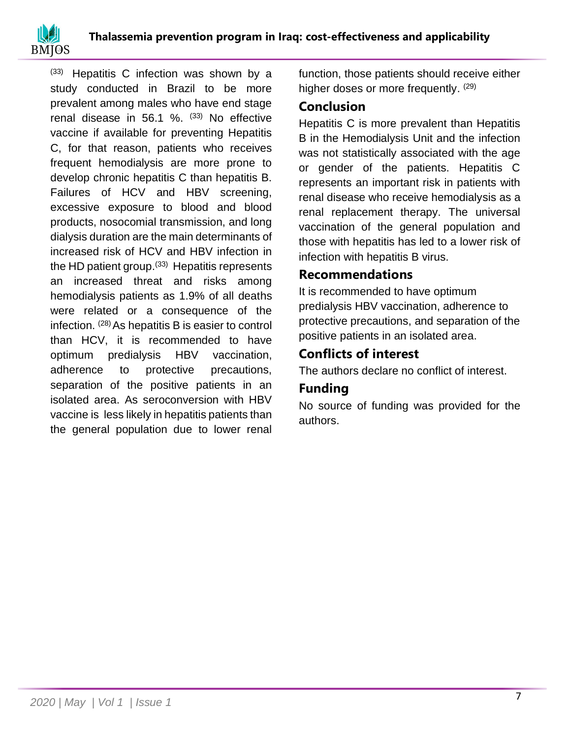

(33) Hepatitis C infection was shown by a study conducted in Brazil to be more prevalent among males who have end stage renal disease in 56.1 %.  $(33)$  No effective vaccine if available for preventing Hepatitis C, for that reason, patients who receives frequent hemodialysis are more prone to develop chronic hepatitis C than hepatitis B. Failures of HCV and HBV screening, excessive exposure to blood and blood products, nosocomial transmission, and long dialysis duration are the main determinants of increased risk of HCV and HBV infection in the HD patient group.<sup>(33)</sup> Hepatitis represents an increased threat and risks among hemodialysis patients as 1.9% of all deaths were related or a consequence of the infection.  $(28)$  As hepatitis B is easier to control than HCV, it is recommended to have optimum predialysis HBV vaccination, adherence to protective precautions, separation of the positive patients in an isolated area. As seroconversion with HBV vaccine is less likely in hepatitis patients than the general population due to lower renal

function, those patients should receive either higher doses or more frequently. (29)

## **Conclusion**

Hepatitis C is more prevalent than Hepatitis B in the Hemodialysis Unit and the infection was not statistically associated with the age or gender of the patients. Hepatitis C represents an important risk in patients with renal disease who receive hemodialysis as a renal replacement therapy. The universal vaccination of the general population and those with hepatitis has led to a lower risk of infection with hepatitis B virus.

# **Recommendations**

It is recommended to have optimum predialysis HBV vaccination, adherence to protective precautions, and separation of the positive patients in an isolated area.

# **Conflicts of interest**

The authors declare no conflict of interest.

# **Funding**

No source of funding was provided for the authors.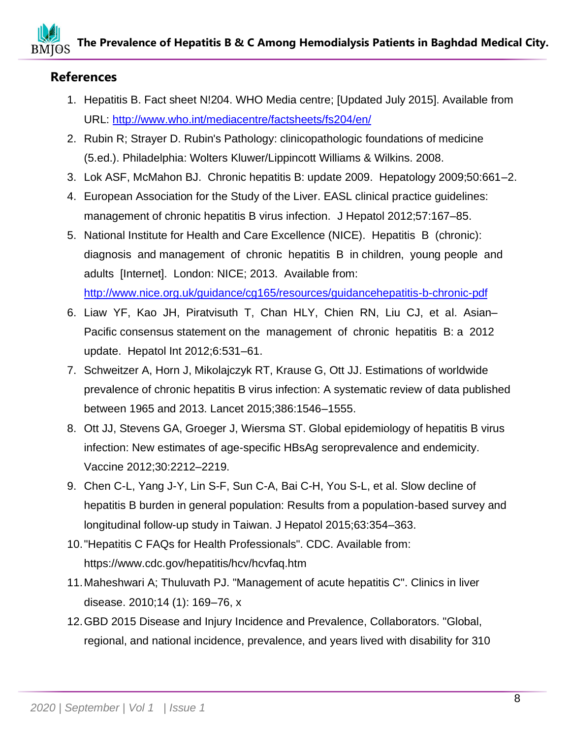# **References**

- 1. Hepatitis B. Fact sheet N!204. WHO Media centre; [Updated July 2015]. Available from URL:<http://www.who.int/mediacentre/factsheets/fs204/en/>
- 2. Rubin R; Strayer D. Rubin's Pathology: clinicopathologic foundations of medicine (5.ed.). Philadelphia: Wolters Kluwer/Lippincott Williams & Wilkins. 2008.
- 3. Lok ASF, McMahon BJ. Chronic hepatitis B: update 2009. Hepatology 2009;50:661–2.
- 4. European Association for the Study of the Liver. EASL clinical practice guidelines: management of chronic hepatitis B virus infection. J Hepatol 2012;57:167–85.
- 5. National Institute for Health and Care Excellence (NICE). Hepatitis B (chronic): diagnosis and management of chronic hepatitis B in children, young people and adults [Internet]. London: NICE; 2013. Available from: <http://www.nice.org.uk/guidance/cg165/resources/guidancehepatitis-b-chronic-pdf>
- 6. Liaw YF, Kao JH, Piratvisuth T, Chan HLY, Chien RN, Liu CJ, et al. Asian– Pacific consensus statement on the management of chronic hepatitis B: a 2012 update. Hepatol Int 2012;6:531–61.
- 7. Schweitzer A, Horn J, Mikolajczyk RT, Krause G, Ott JJ. Estimations of worldwide prevalence of chronic hepatitis B virus infection: A systematic review of data published between 1965 and 2013. Lancet 2015;386:1546–1555.
- 8. Ott JJ, Stevens GA, Groeger J, Wiersma ST. Global epidemiology of hepatitis B virus infection: New estimates of age-specific HBsAg seroprevalence and endemicity. Vaccine 2012;30:2212–2219.
- 9. Chen C-L, Yang J-Y, Lin S-F, Sun C-A, Bai C-H, You S-L, et al. Slow decline of hepatitis B burden in general population: Results from a population-based survey and longitudinal follow-up study in Taiwan. J Hepatol 2015;63:354–363.
- 10."Hepatitis C FAQs for Health Professionals". CDC. Available from: https://www.cdc.gov/hepatitis/hcv/hcvfaq.htm
- 11.Maheshwari A; Thuluvath PJ. "Management of acute hepatitis C". Clinics in liver disease. 2010;14 (1): 169–76, x
- 12.GBD 2015 Disease and Injury Incidence and Prevalence, Collaborators. "Global, regional, and national incidence, prevalence, and years lived with disability for 310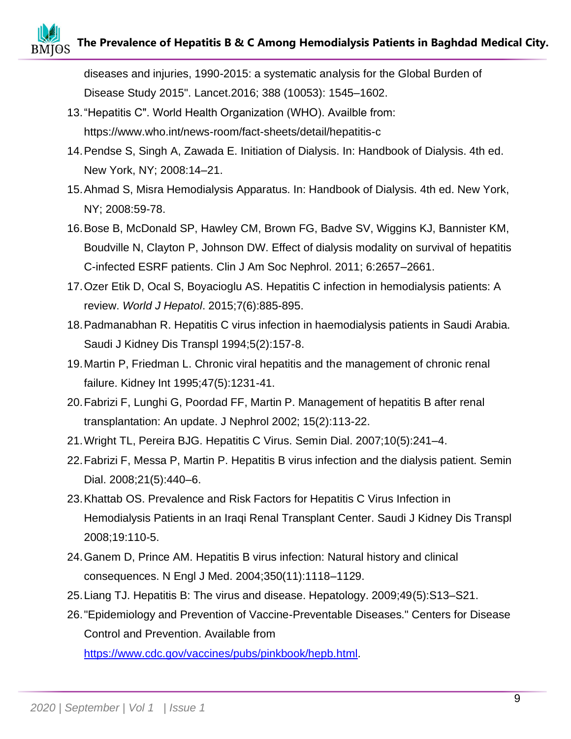# **The Prevalence of Hepatitis B & C Among Hemodialysis Patients in Baghdad Medical City.**

diseases and injuries, 1990-2015: a systematic analysis for the Global Burden of Disease Study 2015". Lancet.2016; 388 (10053): 1545–1602.

- 13."Hepatitis C". World Health Organization (WHO). Availble from: https://www.who.int/news-room/fact-sheets/detail/hepatitis-c
- 14.Pendse S, Singh A, Zawada E. Initiation of Dialysis. In: Handbook of Dialysis. 4th ed. New York, NY; 2008:14–21.
- 15.Ahmad S, Misra Hemodialysis Apparatus. In: Handbook of Dialysis. 4th ed. New York, NY; 2008:59-78.
- 16.Bose B, McDonald SP, Hawley CM, Brown FG, Badve SV, Wiggins KJ, Bannister KM, Boudville N, Clayton P, Johnson DW. Effect of dialysis modality on survival of hepatitis C-infected ESRF patients. Clin J Am Soc Nephrol. 2011; 6:2657–2661.
- 17.Ozer Etik D, Ocal S, Boyacioglu AS. Hepatitis C infection in hemodialysis patients: A review. *World J Hepatol*. 2015;7(6):885-895.
- 18.Padmanabhan R. Hepatitis C virus infection in haemodialysis patients in Saudi Arabia. Saudi J Kidney Dis Transpl 1994;5(2):157-8.
- 19.Martin P, Friedman L. Chronic viral hepatitis and the management of chronic renal failure. Kidney Int 1995;47(5):1231-41.
- 20.Fabrizi F, Lunghi G, Poordad FF, Martin P. Management of hepatitis B after renal transplantation: An update. J Nephrol 2002; 15(2):113-22.
- 21.Wright TL, Pereira BJG. Hepatitis C Virus. Semin Dial. 2007;10(5):241–4.
- 22.Fabrizi F, Messa P, Martin P. Hepatitis B virus infection and the dialysis patient. Semin Dial. 2008;21(5):440–6.
- 23.Khattab OS. Prevalence and Risk Factors for Hepatitis C Virus Infection in Hemodialysis Patients in an Iraqi Renal Transplant Center. Saudi J Kidney Dis Transpl 2008;19:110-5.
- 24.Ganem D, Prince AM. Hepatitis B virus infection: Natural history and clinical consequences. N Engl J Med. 2004;350(11):1118–1129.
- 25.Liang TJ. Hepatitis B: The virus and disease. Hepatology. 2009;49(5):S13–S21.
- 26."Epidemiology and Prevention of Vaccine-Preventable Diseases." Centers for Disease Control and Prevention. Available from

[https://www.cdc.gov/vaccines/pubs/pinkbook/hepb.html.](https://www.cdc.gov/vaccines/pubs/pinkbook/hepb.html)